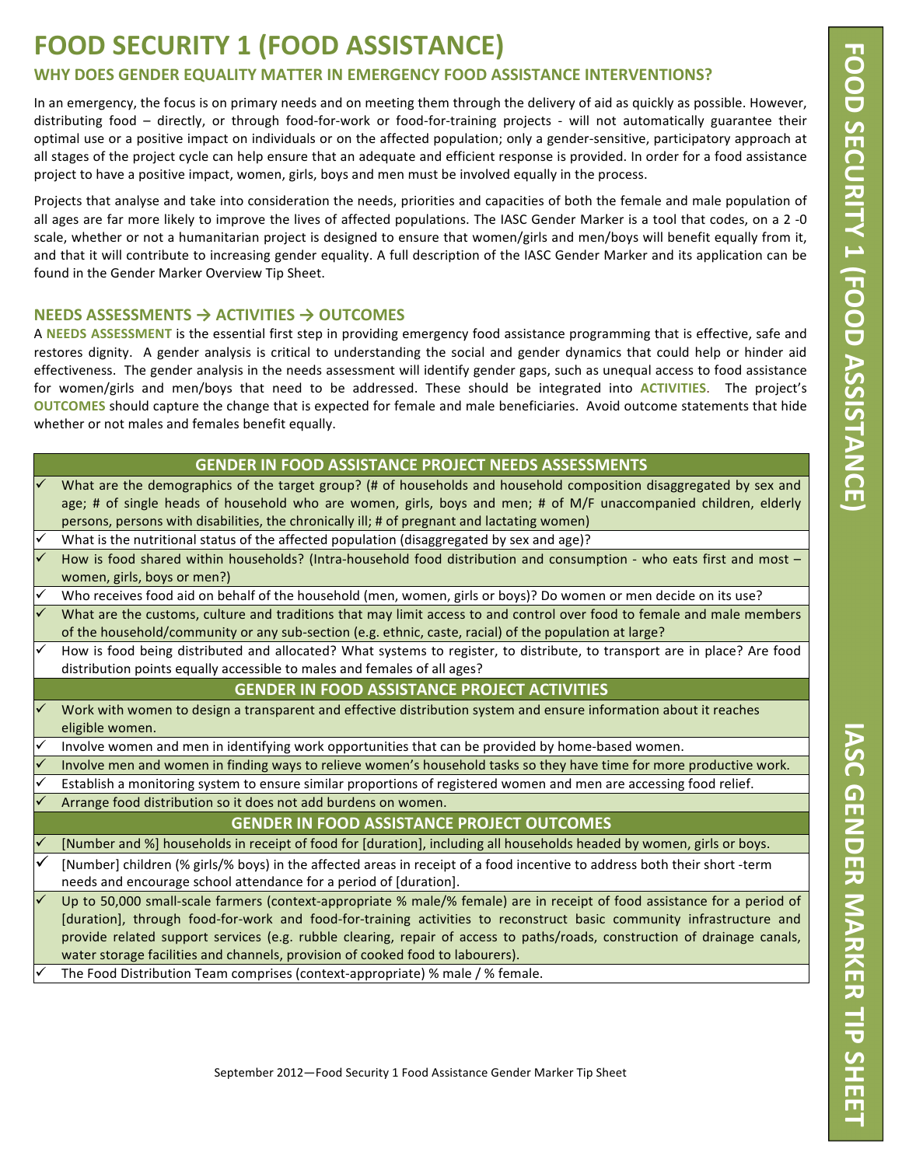## **FOOD SECURITY 1 (FOOD ASSISTANCE)**

## WHY DOES GENDER EQUALITY MATTER IN EMERGENCY FOOD ASSISTANCE INTERVENTIONS?

In an emergency, the focus is on primary needs and on meeting them through the delivery of aid as quickly as possible. However, distributing food - directly, or through food-for-work or food-for-training projects - will not automatically guarantee their optimal use or a positive impact on individuals or on the affected population; only a gender-sensitive, participatory approach at all stages of the project cycle can help ensure that an adequate and efficient response is provided. In order for a food assistance project to have a positive impact, women, girls, boys and men must be involved equally in the process.

Projects that analyse and take into consideration the needs, priorities and capacities of both the female and male population of all ages are far more likely to improve the lives of affected populations. The IASC Gender Marker is a tool that codes, on a 2 -0 scale, whether or not a humanitarian project is designed to ensure that women/girls and men/boys will benefit equally from it, and that it will contribute to increasing gender equality. A full description of the IASC Gender Marker and its application can be found in the Gender Marker Overview Tip Sheet.

## NEEDS ASSESSMENTS → ACTIVITIES → OUTCOMES

A NEEDS ASSESSMENT is the essential first step in providing emergency food assistance programming that is effective, safe and restores dignity. A gender analysis is critical to understanding the social and gender dynamics that could help or hinder aid effectiveness. The gender analysis in the needs assessment will identify gender gaps, such as unequal access to food assistance for women/girls and men/boys that need to be addressed. These should be integrated into ACTIVITIES. The project's OUTCOMES should capture the change that is expected for female and male beneficiaries. Avoid outcome statements that hide whether or not males and females benefit equally.

|              | GENDER IN FOOD ASSISTANCE PROJECT NEEDS ASSESSMENTS                                                                                                                                                                                                                                                                                   |  |  |  |  |
|--------------|---------------------------------------------------------------------------------------------------------------------------------------------------------------------------------------------------------------------------------------------------------------------------------------------------------------------------------------|--|--|--|--|
|              | What are the demographics of the target group? (# of households and household composition disaggregated by sex and<br>age; # of single heads of household who are women, girls, boys and men; # of M/F unaccompanied children, elderly<br>persons, persons with disabilities, the chronically ill; # of pregnant and lactating women) |  |  |  |  |
|              | What is the nutritional status of the affected population (disaggregated by sex and age)?                                                                                                                                                                                                                                             |  |  |  |  |
|              | How is food shared within households? (Intra-household food distribution and consumption - who eats first and most -<br>women, girls, boys or men?)                                                                                                                                                                                   |  |  |  |  |
| ✓            | Who receives food aid on behalf of the household (men, women, girls or boys)? Do women or men decide on its use?                                                                                                                                                                                                                      |  |  |  |  |
| $\checkmark$ | What are the customs, culture and traditions that may limit access to and control over food to female and male members<br>of the household/community or any sub-section (e.g. ethnic, caste, racial) of the population at large?                                                                                                      |  |  |  |  |
| $\checkmark$ | How is food being distributed and allocated? What systems to register, to distribute, to transport are in place? Are food<br>distribution points equally accessible to males and females of all ages?                                                                                                                                 |  |  |  |  |
|              | <b>GENDER IN FOOD ASSISTANCE PROJECT ACTIVITIES</b>                                                                                                                                                                                                                                                                                   |  |  |  |  |
| $\checkmark$ | Work with women to design a transparent and effective distribution system and ensure information about it reaches<br>eligible women.                                                                                                                                                                                                  |  |  |  |  |
| ✓            | Involve women and men in identifying work opportunities that can be provided by home-based women.                                                                                                                                                                                                                                     |  |  |  |  |
| ✓            | Involve men and women in finding ways to relieve women's household tasks so they have time for more productive work.                                                                                                                                                                                                                  |  |  |  |  |
|              | Establish a monitoring system to ensure similar proportions of registered women and men are accessing food relief.                                                                                                                                                                                                                    |  |  |  |  |
|              | Arrange food distribution so it does not add burdens on women.                                                                                                                                                                                                                                                                        |  |  |  |  |
|              | <b>GENDER IN FOOD ASSISTANCE PROJECT OUTCOMES</b>                                                                                                                                                                                                                                                                                     |  |  |  |  |
|              | [Number and %] households in receipt of food for [duration], including all households headed by women, girls or boys.                                                                                                                                                                                                                 |  |  |  |  |
|              | [Number] children (% girls/% boys) in the affected areas in receipt of a food incentive to address both their short -term                                                                                                                                                                                                             |  |  |  |  |
|              | needs and encourage school attendance for a period of [duration].                                                                                                                                                                                                                                                                     |  |  |  |  |
| $\checkmark$ | Up to 50,000 small-scale farmers (context-appropriate % male/% female) are in receipt of food assistance for a period of                                                                                                                                                                                                              |  |  |  |  |
|              | [duration], through food-for-work and food-for-training activities to reconstruct basic community infrastructure and                                                                                                                                                                                                                  |  |  |  |  |
|              | provide related support services (e.g. rubble clearing, repair of access to paths/roads, construction of drainage canals,                                                                                                                                                                                                             |  |  |  |  |
|              | water storage facilities and channels, provision of cooked food to labourers).                                                                                                                                                                                                                                                        |  |  |  |  |
|              | The Food Distribution Team comprises (context-appropriate) % male / % female.                                                                                                                                                                                                                                                         |  |  |  |  |